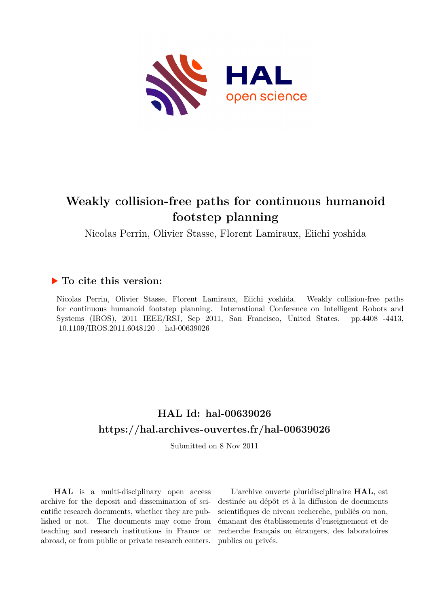

# **Weakly collision-free paths for continuous humanoid footstep planning**

Nicolas Perrin, Olivier Stasse, Florent Lamiraux, Eiichi yoshida

# **To cite this version:**

Nicolas Perrin, Olivier Stasse, Florent Lamiraux, Eiichi yoshida. Weakly collision-free paths for continuous humanoid footstep planning. International Conference on Intelligent Robots and Systems (IROS), 2011 IEEE/RSJ, Sep 2011, San Francisco, United States. pp.4408 -4413,  $10.1109/IROS.2011.6048120$ . hal-00639026

# **HAL Id: hal-00639026 <https://hal.archives-ouvertes.fr/hal-00639026>**

Submitted on 8 Nov 2011

**HAL** is a multi-disciplinary open access archive for the deposit and dissemination of scientific research documents, whether they are published or not. The documents may come from teaching and research institutions in France or abroad, or from public or private research centers.

L'archive ouverte pluridisciplinaire **HAL**, est destinée au dépôt et à la diffusion de documents scientifiques de niveau recherche, publiés ou non, émanant des établissements d'enseignement et de recherche français ou étrangers, des laboratoires publics ou privés.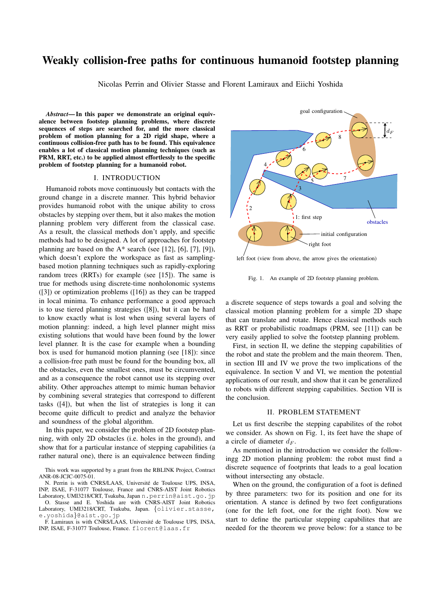# Weakly collision-free paths for continuous humanoid footstep planning

Nicolas Perrin and Olivier Stasse and Florent Lamiraux and Eiichi Yoshida

*Abstract*— In this paper we demonstrate an original equivalence between footstep planning problems, where discrete sequences of steps are searched for, and the more classical problem of motion planning for a 2D rigid shape, where a continuous collision-free path has to be found. This equivalence enables a lot of classical motion planning techniques (such as PRM, RRT, etc.) to be applied almost effortlessly to the specific problem of footstep planning for a humanoid robot.

### I. INTRODUCTION

Humanoid robots move continuously but contacts with the ground change in a discrete manner. This hybrid behavior provides humanoid robot with the unique ability to cross obstacles by stepping over them, but it also makes the motion planning problem very different from the classical case. As a result, the classical methods don't apply, and specific methods had to be designed. A lot of approaches for footstep planning are based on the  $A^*$  search (see [12], [6], [7], [9]), which doesn't explore the workspace as fast as samplingbased motion planning techniques such as rapidly-exploring random trees (RRTs) for example (see [15]). The same is true for methods using discrete-time nonholonomic systems ([3]) or optimization problems ([16]) as they can be trapped in local minima. To enhance performance a good approach is to use tiered planning strategies ([8]), but it can be hard to know exactly what is lost when using several layers of motion planning: indeed, a high level planner might miss existing solutions that would have been found by the lower level planner. It is the case for example when a bounding box is used for humanoid motion planning (see [18]): since a collision-free path must be found for the bounding box, all the obstacles, even the smallest ones, must be circumvented, and as a consequence the robot cannot use its stepping over ability. Other approaches attempt to mimic human behavior by combining several strategies that correspond to different tasks ([4]), but when the list of strategies is long it can become quite difficult to predict and analyze the behavior and soundness of the global algorithm.

In this paper, we consider the problem of 2D footstep planning, with only 2D obstacles (i.e. holes in the ground), and show that for a particular instance of stepping capabilities (a rather natural one), there is an equivalence between finding

O. Stasse and E. Yoshida are with CNRS-AIST Joint Robotics Laboratory, UMI3218/CRT, Tsukuba, Japan. {olivier.stasse, e.yoshida}@aist.go.jp





left foot (view from above, the arrow gives the orientation)

Fig. 1. An example of 2D footstep planning problem.

a discrete sequence of steps towards a goal and solving the classical motion planning problem for a simple 2D shape that can translate and rotate. Hence classical methods such as RRT or probabilistic roadmaps (PRM, see [11]) can be very easily applied to solve the footstep planning problem.

First, in section II, we define the stepping capabilities of the robot and state the problem and the main theorem. Then, in section III and IV we prove the two implications of the equivalence. In section V and VI, we mention the potential applications of our result, and show that it can be generalized to robots with different stepping capabilities. Section VII is the conclusion.

#### II. PROBLEM STATEMENT

Let us first describe the stepping capabilites of the robot we consider. As shown on Fig. 1, its feet have the shape of a circle of diameter  $d_F$ .

As mentioned in the introduction we consider the followingg 2D motion planning problem: the robot must find a discrete sequence of footprints that leads to a goal location without intersecting any obstacle.

When on the ground, the configuration of a foot is defined by three parameters: two for its position and one for its orientation. A stance is defined by two feet configurations (one for the left foot, one for the right foot). Now we start to define the particular stepping capabilites that are needed for the theorem we prove below: for a stance to be

This work was supported by a grant from the RBLINK Project, Contract ANR-08-JCJC-0075-01.

N. Perrin is with CNRS/LAAS, Université de Toulouse UPS, INSA, INP, ISAE, F-31077 Toulouse, France and CNRS-AIST Joint Robotics Laboratory, UMI3218/CRT, Tsukuba, Japan n.perrin@aist.go.jp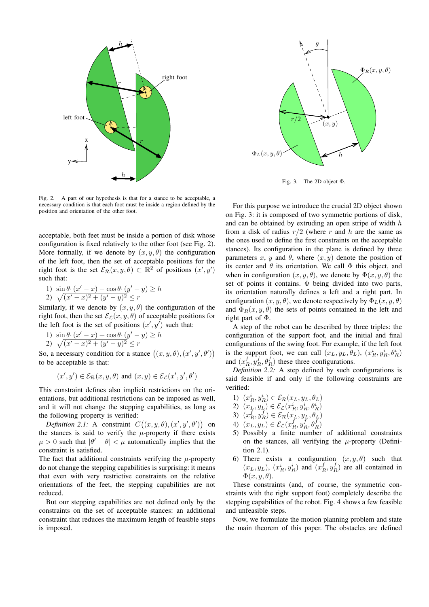

Fig. 2. A part of our hypothesis is that for a stance to be acceptable, a necessary condition is that each foot must be inside a region defined by the position and orientation of the other foot.

acceptable, both feet must be inside a portion of disk whose configuration is fixed relatively to the other foot (see Fig. 2). More formally, if we denote by  $(x, y, \theta)$  the configuration of the left foot, then the set of acceptable positions for the right foot is the set  $\mathcal{E}_{\mathcal{R}}(x, y, \theta) \subset \mathbb{R}^2$  of positions  $(x', y')$ such that:

1)  $\sin \theta \cdot (x'-x) - \cos \theta \cdot (y'-y) \ge h$ 2)  $\sqrt{(x'-x)^2 + (y'-y)^2} \leq r$ 

Similarly, if we denote by  $(x, y, \theta)$  the configuration of the right foot, then the set  $\mathcal{E}_{\mathcal{L}}(x, y, \theta)$  of acceptable positions for the left foot is the set of positions  $(x', y')$  such that:

1)  $\sin \theta \cdot (x'-x) + \cos \theta \cdot (y'-y) \ge h$ 2)  $\sqrt{(x'-x)^2 + (y'-y)^2} \leq r$ 

So, a necessary condition for a stance  $((x, y, \theta), (x', y', \theta'))$ to be acceptable is that:

$$
(x', y') \in \mathcal{E}_{\mathcal{R}}(x, y, \theta)
$$
 and  $(x, y) \in \mathcal{E}_{\mathcal{L}}(x', y', \theta')$ 

This constraint defines also implicit restrictions on the orientations, but additional restrictions can be imposed as well, and it will not change the stepping capabilities, as long as the following property is verified:

*Definition 2.1:* A constraint  $C((x, y, \theta), (x', y', \theta'))$  on the stances is said to verify the  $\mu$ -property if there exists  $\mu > 0$  such that  $|\theta' - \theta| < \mu$  automatically implies that the constraint is satisfied.

The fact that additional constraints verifying the  $\mu$ -property do not change the stepping capabilities is surprising: it means that even with very restrictive constraints on the relative orientations of the feet, the stepping capabilities are not reduced.

But our stepping capabilities are not defined only by the constraints on the set of acceptable stances: an additional constraint that reduces the maximum length of feasible steps is imposed.



Fig. 3. The 2D object Φ.

For this purpose we introduce the crucial 2D object shown on Fig. 3: it is composed of two symmetric portions of disk, and can be obtained by extruding an open stripe of width  $h$ from a disk of radius  $r/2$  (where r and h are the same as the ones used to define the first constraints on the acceptable stances). Its configuration in the plane is defined by three parameters x, y and  $\theta$ , where  $(x, y)$  denote the position of its center and  $\theta$  its orientation. We call  $\Phi$  this object, and when in configuration  $(x, y, \theta)$ , we denote by  $\Phi(x, y, \theta)$  the set of points it contains. Φ being divided into two parts, its orientation naturally defines a left and a right part. In configuration  $(x, y, \theta)$ , we denote respectively by  $\Phi_L(x, y, \theta)$ and  $\Phi_R(x, y, \theta)$  the sets of points contained in the left and right part of Φ.

A step of the robot can be described by three triples: the configuration of the support foot, and the initial and final configurations of the swing foot. For example, if the left foot is the support foot, we can call  $(x_L, y_L, \theta_L)$ ,  $(x_R^i, y_R^i, \theta_R^i)$ and  $(x_R^f, y_R^f, \theta_R^f)$  these three configurations.

*Definition 2.2:* A step defined by such configurations is said feasible if and only if the following constraints are verified:

- 1)  $(x_R^i, y_R^i) \in \mathcal{E}_{\mathcal{R}}(x_L, y_L, \theta_L)$
- 2)  $(x_L, y_L) \in \mathcal{E}_\mathcal{L}(x_R^i, y_R^i, \theta_R^i)$
- 3)  $(x_R^f, y_R^f) \in \mathcal{E}_{\mathcal{R}}(x_L, y_L, \theta_L)$
- 4)  $(x_L, y_L) \in \mathcal{E}_\mathcal{L}(x_R^f, y_R^f, \theta_R^f)$
- 5) Possibly a finite number of additional constraints on the stances, all verifying the  $\mu$ -property (Definition 2.1).
- 6) There exists a configuration  $(x, y, \theta)$  such that  $(x_L, y_L)$ ,  $(x_R^i, y_R^i)$  and  $(x_R^f, y_R^f)$  are all contained in  $\Phi(x, y, \theta)$ .

These constraints (and, of course, the symmetric constraints with the right support foot) completely describe the stepping capabilities of the robot. Fig. 4 shows a few feasible and unfeasible steps.

Now, we formulate the motion planning problem and state the main theorem of this paper. The obstacles are defined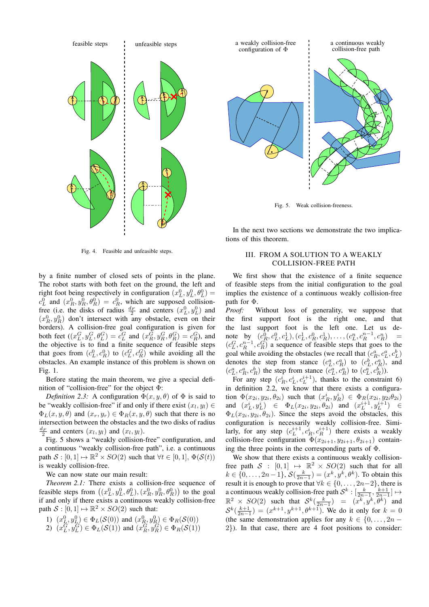



Fig. 5. Weak collision-freeness.

Fig. 4. Feasible and unfeasible steps.

by a finite number of closed sets of points in the plane. The robot starts with both feet on the ground, the left and right foot being respectively in configuration  $(x_L^0, y_L^0, \theta_L^0)$  = Fight foot being respectively in comiguration  $(x_L, y_L, v_L)$  –<br>  $c_L^0$  and  $(x_R^0, y_R^0, \theta_R^0) = c_R^0$ , which are supposed collisionfree (i.e. the disks of radius  $\frac{d_F}{2}$  and centers  $(x_L^0, y_L^0)$  and  $(x_R^0, y_R^0)$  don't intersect with any obstacle, even on their borders). A collision-free goal configuration is given for both feet  $((x_L^G, y_L^G, \theta_L^G) = c_L^G$  and  $(x_R^G, y_R^G, \theta_R^G) = c_R^G$ , and the objective is to find a finite sequence of feasible steps that goes from  $(c_L^0, c_R^0)$  to  $(c_L^G, c_R^G)$  while avoiding all the obstacles. An example instance of this problem is shown on Fig. 1.

Before stating the main theorem, we give a special definition of "collision-free" for the object Φ:

*Definition 2.3:* A configuration  $\Phi(x, y, \theta)$  of  $\Phi$  is said to be "weakly collision-free" if and only if there exist  $(x_l, y_l) \in$  $\Phi_L(x, y, \theta)$  and  $(x_r, y_r) \in \Phi_R(x, y, \theta)$  such that there is no intersection between the obstacles and the two disks of radius  $\frac{d_F}{2}$  and centers  $(x_l, y_l)$  and  $(x_l, y_l)$ .

Fig. 5 shows a "weakly collision-free" configuration, and a continuous "weakly collision-free path", i.e. a continuous path  $S : [0, 1] \mapsto \mathbb{R}^2 \times SO(2)$  such that  $\forall t \in [0, 1], \Phi(S(t))$ is weakly collision-free.

We can now state our main result:

*Theorem 2.1:* There exists a collision-free sequence of feasible steps from  $((x_L^0, y_L^0, \theta_L^0), (x_R^0, y_R^0, \theta_R^0))$  to the goal if and only if there exists a continuous weakly collision-free path  $S : [0, 1] \mapsto \mathbb{R}^2 \times SO(2)$  such that:

- 1)  $(x_L^0, y_L^0) \in \Phi_L(\mathcal{S}(0))$  and  $(x_R^0, y_R^0) \in \Phi_R(\mathcal{S}(0))$
- 2)  $(x_L^G, y_L^G) \in \Phi_L(S(1))$  and  $(x_R^G, y_R^G) \in \Phi_R(S(1))$

tions of this theorem.

In the next two sections we demonstrate the two implica-

# III. FROM A SOLUTION TO A WEAKLY COLLISION-FREE PATH

We first show that the existence of a finite sequence of feasible steps from the initial configuration to the goal implies the existence of a continuous weakly collision-free path for Φ.

*Proof:* Without loss of generality, we suppose that the first support foot is the right one, and that the last support foot is the left one. Let us denote by  $(c_R^0, c_L^0, c_L^1), (c_L^1, c_R^0, c_R^1), \ldots, (c_L^n, c_R^{n-1}, c_R^n)$  =  $(c_L^G, c_R^{n-1}, c_R^G)$  a sequence of feasible steps that goes to the goal while avoiding the obstacles (we recall that  $(c_R^a, c_L^a, c_L^b)$ denotes the step from stance  $(c_L^a, c_R^a)$  to  $(c_L^b, c_R^a)$ , and  $(c_L^a, c_R^a, c_R^b)$  the step from stance  $(c_L^a, c_R^a)$  to  $(c_L^a, c_R^b)$ .

For any step  $(c_R^i, c_L^i, c_L^{i+1})$ , thanks to the constraint 6) in definition 2.2, we know that there exists a configuration  $\Phi(x_{2i}, y_{2i}, \theta_{2i})$  such that  $(x_R^i, y_R^i) \in \Phi_R(x_{2i}, y_{2i}\theta_{2i})$ and  $(x_L^i, y_L^i) \in \Phi_L(x_{2i}, y_{2i}, \theta_{2i})$  and  $(x_L^{i+1}, y_L^{i+1}) \in$  $\Phi_L(x_{2i}, y_{2i}, \theta_{2i})$ . Since the steps avoid the obstacles, this configuration is necessarily weakly collision-free. Similarly, for any step  $(c_L^{i+1}, c_R^i, c_R^{i+1})$  there exists a weakly collision-free configuration  $\Phi(x_{2i+1}, y_{2i+1}, \theta_{2i+1})$  containing the three points in the corresponding parts of Φ.

We show that there exists a continuous weakly collisionfree path  $S : [0,1] \mapsto \mathbb{R}^2 \times SO(2)$  such that for all  $k \in \{0, \ldots, 2n-1\}, \mathcal{S}(\frac{k}{2n-1}) = (x^k, y^k, \theta^k)$ . To obtain this result it is enough to prove that  $\forall k \in \{0, \ldots, 2n-2\}$ , there is a continuous weakly collision-free path  $\mathcal{S}^k : [\frac{k}{2n-1}, \frac{k+1}{2n-1}] \mapsto$  $\mathbb{R}^2 \times SO(2)$  such that  $S^k(\frac{k}{2n-1}) = (x^k, y^k, \theta^k)$  and  $S^k(\frac{k+1}{2n-1}) = (x^{k+1}, y^{k+1}, \theta^{k+1})$ . We do it only for  $k = 0$ (the same demonstration applies for any  $k \in \{0, \ldots, 2n - \}$ 2}). In that case, there are 4 foot positions to consider: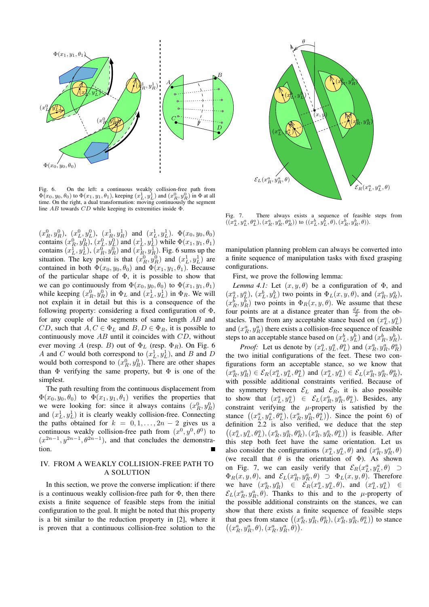

Fig. 6. On the left: a continuous weakly collision-free path from  $\Phi(x_0, y_0, \theta_0)$  to  $\Phi(x_1, y_1, \theta_1)$ , keeping  $(x_L^1, y_L^1)$  and  $(x_R^0, y_R^0)$  in  $\Phi$  at all time. On the right, a dual transformation: moving continuously the segment line AB towards CD while keeping its extremities inside Φ.

 $(x_R^0, y_R^0)$ ,  $(x_L^0, y_L^0)$ ,  $(x_R^1, y_R^1)$  and  $(x_L^1, y_L^1)$ .  $\Phi(x_0, y_0, \theta_0)$ contains  $(x_R^0, y_R^0), (x_L^0, y_L^0)$  and  $(x_L^1, y_L^1)$  while  $\Phi(x_1, y_1, \theta_1)$ contains  $(x_L^1, y_L^1)$ ,  $(x_R^0, y_R^0)$  and  $(x_R^1, y_R^1)$ . Fig. 6 sums up the situation. The key point is that  $(x_R^0, y_R^0)$  and  $(x_L^1, y_L^1)$  are contained in both  $\Phi(x_0, y_0, \theta_0)$  and  $\Phi(x_1, y_1, \theta_1)$ . Because of the particular shape of  $\Phi$ , it is possible to show that we can go continuously from  $\Phi(x_0, y_0, \theta_0)$  to  $\Phi(x_1, y_1, \theta_1)$ while keeping  $(x_R^0, y_R^0)$  in  $\Phi_L$  and  $(x_L^1, y_L^1)$  in  $\Phi_R$ . We will not explain it in detail but this is a consequence of the following property: considering a fixed configuration of Φ, for any couple of line segments of same length AB and CD, such that  $A, C \in \Phi_L$  and  $B, D \in \Phi_R$ , it is possible to continuously move  $AB$  until it coincides with  $CD$ , without ever moving A (resp. B) out of  $\Phi_L$  (resp.  $\Phi_R$ ). On Fig. 6 A and C would both correspond to  $(x_L^1, y_L^1)$ , and B and D would both correspond to  $(x_R^0, y_R^0)$ . There are other shapes than  $\Phi$  verifying the same property, but  $\Phi$  is one of the simplest.

The path resulting from the continuous displacement from  $\Phi(x_0, y_0, \theta_0)$  to  $\Phi(x_1, y_1, \theta_1)$  verifies the properties that we were looking for: since it always contains  $(x_R^0, y_R^0)$ and  $(x_L^1, y_L^1)$  it is clearly weakly collision-free. Connecting the paths obtained for  $k = 0, 1, \ldots, 2n - 2$  gives us a continuous weakly collision-free path from  $(x^0, y^0, \theta^0)$  to  $(x^{2n-1}, y^{2n-1}, \theta^{2n-1})$ , and that concludes the demonstration.

# IV. FROM A WEAKLY COLLISION-FREE PATH TO A SOLUTION

In this section, we prove the converse implication: if there is a continuous weakly collision-free path for  $\Phi$ , then there exists a finite sequence of feasible steps from the initial configuration to the goal. It might be noted that this property is a bit similar to the reduction property in [2], where it is proven that a continuous collision-free solution to the



Fig. 7. There always exists a sequence of feasible steps from  $((x_1^a, y_L^a, \theta_L^a), (x_R^a, y_R^a, \theta_R^a))$  to  $((x_L^b, y_L^b, \theta), (x_R^b, y_R^b, \theta)).$ 

manipulation planning problem can always be converted into a finite sequence of manipulation tasks with fixed grasping configurations.

First, we prove the following lemma:

*Lemma 4.1:* Let  $(x, y, \theta)$  be a configuration of  $\Phi$ , and  $(x_L^a, y_L^a)$ ,  $(x_L^b, y_L^b)$  two points in  $\Phi_L(x, y, \theta)$ , and  $(x_R^a, y_R^a)$ ,  $(x_R^b, y_R^b)$  two points in  $\Phi_R(x, y, \theta)$ . We assume that these four points are at a distance greater than  $\frac{d_F}{2}$  from the obstacles. Then from any acceptable stance based on  $(x_L^a, y_L^a)$ and  $(x_R^a, y_R^a)$  there exists a collision-free sequence of feasible steps to an acceptable stance based on  $(x_L^b, y_L^b)$  and  $(x_R^b, y_R^b)$ .

*Proof:* Let us denote by  $(x_L^a, y_L^a, \theta_L^a)$  and  $(x_R^a, y_R^a, \theta_R^a)$ the two initial configurations of the feet. These two configurations form an acceptable stance, so we know that  $(x_R^a, y_R^a) \in \mathcal{E}_R(x_L^a, y_L^a, \theta_L^a) \text{ and } (x_L^a, y_L^a) \in \mathcal{E}_L(x_R^a, y_R^a, \theta_R^a),$ with possible additional constraints verified. Because of the symmetry between  $\mathcal{E}_L$  and  $\mathcal{E}_R$ , it is also possible to show that  $(x_L^a, y_L^a) \in \mathcal{E}_L(x_R^a, y_R^a, \theta_L^a)$ . Besides, any constraint verifying the  $\mu$ -property is satisfied by the stance  $((x_L^a, y_L^a, \theta_L^a), (x_R^a, y_R^a, \theta_L^a))$ . Since the point 6) of definition 2.2 is also verified, we deduce that the step  $((x_L^a, y_L^a, \theta_L^a), (x_R^a, y_R^a, \theta_R^a), (x_R^a, y_R^a, \theta_L^a))$  is feasible. After this step both feet have the same orientation. Let us also consider the configurations  $(x_L^a, y_L^a, \theta)$  and  $(x_R^a, y_R^a, \theta)$ (we recall that  $\theta$  is the orientation of  $\Phi$ ). As shown on Fig. 7, we can easily verify that  $\mathcal{E}_R(x_L^a, y_L^a, \theta) \supset$  $\Phi_R(x, y, \theta)$ , and  $\mathcal{E}_L(x_R^a, y_R^a, \theta) \supset \Phi_L(x, y, \theta)$ . Therefore we have  $(x_R^a, y_R^a) \in \mathcal{E}_R(x_L^a, y_L^a, \theta)$ , and  $(x_L^a, y_L^a) \in$  $\mathcal{E}_L(x_R^a, y_R^a, \theta)$ . Thanks to this and to the  $\mu$ -property of the possible additional constraints on the stances, we can show that there exists a finite sequence of feasible steps that goes from stance  $((x_R^a, y_R^a, \theta_R^a), (x_R^a, y_R^a, \theta_L^a))$  to stance  $((x_R^a, y_R^a, \theta), (x_R^a, y_R^a, \dot{\theta})).$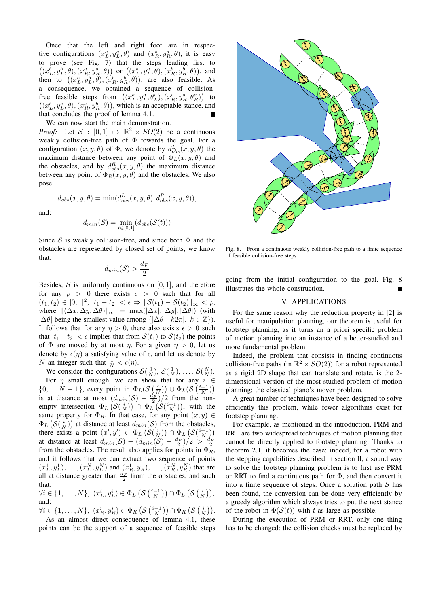Once that the left and right foot are in respective configurations  $(x_L^a, y_L^a, \theta)$  and  $(x_R^a, y_R^a, \theta)$ , it is easy to prove (see Fig. 7) that the steps leading first to  $((x_L^b, y_L^b, \theta), (x_R^a, y_R^a, \theta))$  or  $((x_L^a, y_L^a, \theta), (x_R^b, y_R^b, \theta))$ , and then to  $((x_L^b, y_L^b, \theta), (x_R^b, y_R^b, \theta))$ , are also feasible. As a consequence, we obtained a sequence of collisionfree feasible steps from  $((x_L^a, y_L^a, \theta_L^a), (x_R^a, y_R^a, \theta_R^a))$  to  $((x_L^b, y_L^b, \theta), (x_R^b, y_R^b, \theta))$ , which is an acceptable stance, and that concludes the proof of lemma 4.1.

We can now start the main demonstration.

*Proof:* Let  $S : [0,1] \mapsto \mathbb{R}^2 \times SO(2)$  be a continuous weakly collision-free path of Φ towards the goal. For a configuration  $(x, y, \theta)$  of  $\Phi$ , we denote by  $d_{obs}^L(x, y, \theta)$  the maximum distance between any point of  $\overline{\Phi}_L(x, y, \theta)$  and the obstacles, and by  $d_{obs}^R(x, y, \theta)$  the maximum distance between any point of  $\Phi_R(x, y, \theta)$  and the obstacles. We also pose:

$$
d_{obs}(x, y, \theta) = \min(d_{obs}^L(x, y, \theta), d_{obs}^R(x, y, \theta)),
$$

and:

$$
d_{min}(\mathcal{S}) = \min_{t \in [0,1]} (d_{obs}(\mathcal{S}(t)))
$$

Since S is weakly collision-free, and since both  $\Phi$  and the obstacles are represented by closed set of points, we know that:

$$
d_{min}(\mathcal{S}) > \frac{d_F}{2}
$$

Besides,  $S$  is uniformly continuous on [0, 1], and therefore for any  $\rho > 0$  there exists  $\epsilon > 0$  such that for all  $(t_1, t_2) \in [0, 1]^2$ ,  $|t_1 - t_2| < \epsilon \Rightarrow ||\mathcal{S}(t_1) - \mathcal{S}(t_2)||_{\infty} < \rho$ , where  $\|(\Delta x, \Delta y, \Delta \theta)\|_{\infty} = \max(|\Delta x|, |\Delta y|, |\Delta \theta|)$  (with  $|\Delta\theta|$  being the smallest value among  $\{|\Delta\theta + k2\pi|, k \in \mathbb{Z}\}\)$ . It follows that for any  $\eta > 0$ , there also exists  $\epsilon > 0$  such that  $|t_1 - t_2| < \epsilon$  implies that from  $\mathcal{S}(t_1)$  to  $\mathcal{S}(t_2)$  the points of  $\Phi$  are moved by at most  $\eta$ . For a given  $\eta > 0$ , let us denote by  $\epsilon(\eta)$  a satisfying value of  $\epsilon$ , and let us denote by N an integer such that  $\frac{1}{N} < \epsilon(\eta)$ .

We consider the configurations  $S(\frac{0}{N}), S(\frac{1}{N}), \dots, S(\frac{N}{N}).$ 

For  $\eta$  small enough, we can show that for any  $i \in$  $\{0, \ldots N-1\}$ , every point in  $\Phi_L(S\left(\frac{i}{N}\right)) \cup \Phi_L(S\left(\frac{i+1}{N}\right))$ (0,...  $N = 1$ , every point in  $\frac{dE}{L}(O(N)) \leq \frac{E}{L}(O(N))$ <br>is at distance at most  $\left(\frac{dm_{in}(S)}{P}\right)/2$  from the nonempty intersection  $\Phi_L(S(\frac{i}{N})) \cap \Phi_L(S(\frac{i+1}{N}))$ , with the same property for  $\Phi_R$ . In that case, for any point  $(x, y) \in$  $\Phi_L\left(S(\frac{i}{N})\right)$  at distance at least  $d_{min}(S)$  from the obstacles, there exists a point  $(x', y') \in \Phi_L(S(\frac{i}{N})) \cap \Phi_L(S(\frac{i+1}{N}))$ at distance at least  $d_{min}(\mathcal{S}) - (d_{min}(\mathcal{S}) - \frac{d_F}{2})/2 > \frac{d_F}{2}$ from the obstacles. The result also applies for points in  $\Phi_R$ , and it follows that we can extract two sequence of points  $(x_L^1, y_L^1), \ldots, (x_L^N, y_L^N)$  and  $(x_R^1, y_R^1), \ldots, (x_R^N, y_R^N)$  that are all at distance greater than  $\frac{d_F}{2}$  from the obstacles, and such that:

$$
\forall i \in \{1, \ldots, N\}, \ (x_L^i, y_L^i) \in \Phi_L \left( \mathcal{S} \left( \frac{i-1}{N} \right) \right) \cap \Phi_L \left( \mathcal{S} \left( \frac{i}{N} \right) \right),
$$
 and:

 $\forall i \in \{1, \ldots, N\}, \ (x_R^i, y_R^i) \in \Phi_R \left( \mathcal{S} \left( \frac{i-1}{N} \right) \right) \cap \Phi_R \left( \mathcal{S} \left( \frac{i}{N} \right) \right).$ 

As an almost direct consequence of lemma 4.1, these points can be the support of a sequence of feasible steps



Fig. 8. From a continuous weakly collision-free path to a finite sequence of feasible collision-free steps.

going from the initial configuration to the goal. Fig. 8 illustrates the whole construction.

#### V. APPLICATIONS

For the same reason why the reduction property in [2] is useful for manipulation planning, our theorem is useful for footstep planning, as it turns an a priori specific problem of motion planning into an instance of a better-studied and more fundamental problem.

Indeed, the problem that consists in finding continuous collision-free paths (in  $\mathbb{R}^2 \times SO(2)$ ) for a robot represented as a rigid 2D shape that can translate and rotate, is the 2 dimensional version of the most studied problem of motion planning: the classical piano's mover problem.

A great number of techniques have been designed to solve efficiently this problem, while fewer algorithms exist for footstep planning.

For example, as mentioned in the introduction, PRM and RRT are two widespread techniques of motion planning that cannot be directly applied to footstep planning. Thanks to theorem 2.1, it becomes the case: indeed, for a robot with the stepping capabilities described in section II, a sound way to solve the footstep planning problem is to first use PRM or RRT to find a continuous path for  $\Phi$ , and then convert it into a finite sequence of steps. Once a solution path  $S$  has been found, the conversion can be done very efficiently by a greedy algorithm which always tries to put the next stance of the robot in  $\Phi(S(t))$  with t as large as possible.

During the execution of PRM or RRT, only one thing has to be changed: the collision checks must be replaced by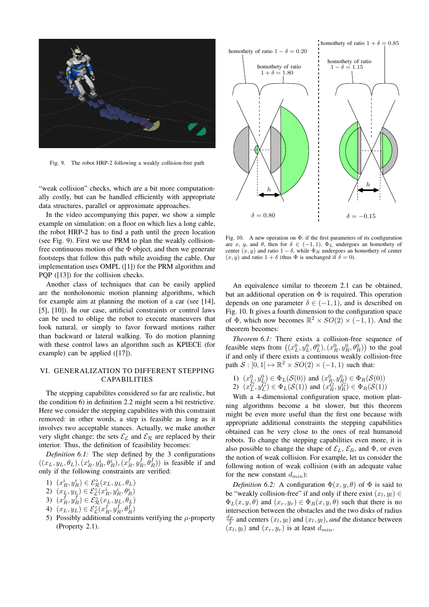

Fig. 9. The robot HRP-2 following a weakly collision-free path

"weak collision" checks, which are a bit more computationally costly, but can be handled efficiently with appropriate data structures, parallel or approximate approaches.

In the video accompanying this paper, we show a simple example on simulation: on a floor on which lies a long cable, the robot HRP-2 has to find a path until the green location (see Fig. 9). First we use PRM to plan the weakly collisionfree continuous motion of the  $\Phi$  object, and then we generate footsteps that follow this path while avoiding the cable. Our implementation uses OMPL ([1]) for the PRM algorithm and PQP ([13]) for the collision checks.

Another class of techniques that can be easily applied are the nonholonomic motion planning algorithms, which for example aim at planning the motion of a car (see [14], [5], [10]). In our case, artificial constraints or control laws can be used to oblige the robot to execute maneuvers that look natural, or simply to favor forward motions rather than backward or lateral walking. To do motion planning with these control laws an algorithm such as KPIECE (for example) can be applied ([17]).

# VI. GENERALIZATION TO DIFFERENT STEPPING CAPABILITIES

The stepping capabilites considered so far are realistic, but the condition 6) in definition 2.2 might seem a bit restrictive. Here we consider the stepping capabilites with this constraint removed: in other words, a step is feasible as long as it involves two acceptable stances. Actually, we make another very slight change: the sets  $\mathcal{E}_{\mathcal{L}}$  and  $\mathcal{E}_{\mathcal{R}}$  are replaced by their interior. Thus, the definition of feasibility becomes:

*Definition 6.1:* The step defined by the 3 configurations  $((x_L, y_L, \theta_L), (x_R^i, y_R^i, \theta_R^i), (x_R^f, y_R^f, \theta_R^f))$  is feasible if and only if the following constraints are verified:

- 1)  $(x_R^i, y_R^i) \in \mathcal{E}^\circ_{\mathcal{R}}(x_L, y_L, \theta_L)$
- 2)  $(x_L, y_L) \in \mathcal{E}_{\mathcal{L}}^{\circ}(x_R^i, y_R^i, \theta_R^i)$
- 3)  $(x_R^f, y_R^f) \in \widetilde{\mathcal{E}}_{\mathcal{R}}^{\circ}(x_L, y_L, \theta_L)$
- 4)  $(x_L, y_L) \in \mathcal{E}_{\mathcal{L}}^{\circ}(x_R^f, y_R^f, \theta_R^f)$
- 5) Possibly additional constraints verifying the  $\mu$ -property (Property 2.1).



Fig. 10. A new operation on  $\Phi$ : if the first parameters of its configuration are x, y, and  $\theta$ , then for  $\delta \in (-1,1)$ ,  $\Phi_L$  undergoes an homothety of center  $(x, y)$  and ratio  $1 - \delta$ , while  $\Phi_B$  undergoes an homothety of center  $(x, y)$  and ratio  $1 + \delta$  (thus  $\Phi$  is unchanged if  $\delta = 0$ ).

An equivalence similar to theorem 2.1 can be obtained, but an additional operation on  $\Phi$  is required. This operation depends on one parameter  $\delta \in (-1, 1)$ , and is described on Fig. 10. It gives a fourth dimension to the configuration space of  $\Phi$ , which now becomes  $\mathbb{R}^2 \times SO(2) \times (-1,1)$ . And the theorem becomes:

*Theorem 6.1:* There exists a collision-free sequence of feasible steps from  $((x_L^0, y_L^0, \theta_L^0), (x_R^0, y_R^0, \theta_R^0))$  to the goal if and only if there exists a continuous weakly collision-free path  $S : [0, 1] \mapsto \mathbb{R}^2 \times SO(2) \times (-1, 1)$  such that:

- 1)  $(x_L^0, y_L^0) \in \Phi_L(\mathcal{S}(0))$  and  $(x_R^0, y_R^0) \in \Phi_R(\mathcal{S}(0))$
- 2)  $(x_L^G, y_L^G) \in \Phi_L(S(1))$  and  $(x_R^G, y_R^G) \in \Phi_R(S(1))$

With a 4-dimensional configuration space, motion planning algorithms become a bit slower, but this theorem might be even more useful than the first one because with appropriate additional constraints the stepping capabilities obtained can be very close to the ones of real humanoid robots. To change the stepping capabilities even more, it is also possible to change the shape of  $\mathcal{E}_L$ ,  $\mathcal{E}_R$ , and  $\Phi$ , or even the notion of weak collision. For example, let us consider the following notion of weak collision (with an adequate value for the new constant  $d_{min}$ ):

*Definition 6.2:* A configuration  $\Phi(x, y, \theta)$  of  $\Phi$  is said to be "weakly collision-free" if and only if there exist  $(x_l, y_l) \in$  $\Phi_L(x, y, \theta)$  and  $(x_r, y_r) \in \Phi_R(x, y, \theta)$  such that there is no intersection between the obstacles and the two disks of radius  $\frac{d_F}{2}$  and centers  $(x_l, y_l)$  and  $(x_l, y_l)$ , *and* the distance between  $(x_l, y_l)$  and  $(x_r, y_r)$  is at least  $d_{min}$ .